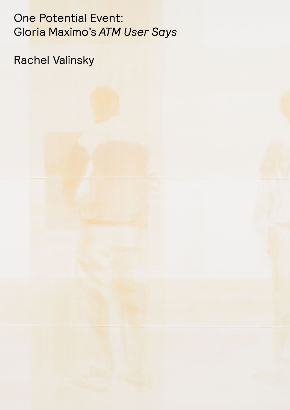One Potential Event: Gloria Maximo's *ATM User Says*

Rachel Valinsky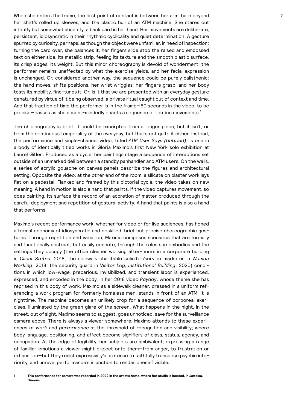When she enters the frame, the first point of contact is between her arm, bare beyond 2 her shirt's rolled up sleeves, and the plastic hull of an ATM machine. She stares out intently but somewhat absently, a bank card in her hand. Her movements are deliberate, persistent, idiosyncratic in their rhythmic cyclicality and quiet determination. A gesture spurred by curiosity, perhaps, as though the object were unfamiliar, in need of inspection: turning the card over, she balances it, her fingers slide atop the raised and embossed text on either side, its metallic strip, feeling its texture and the smooth plastic surface, its crisp edges, its weight. But this minor choreography is devoid of wonderment: the performer remains unaffected by what the exercise yields, and her facial expression is unchanged. Or, considered another way, the sequence could be purely calisthenic: the hand moves, shifts positions, her wrist wriggles, her fingers grasp, and her body tests its mobility, fine-tunes it. Or, is it that we are presented with an everyday gesture denatured by virtue of it being observed; a private ritual caught out of context and time. And that fraction of time the performer is in the frame—60 seconds in the video, to be precise—passes as she absent-mindedly enacts a sequence of routine movements.**<sup>1</sup>**

The choreography is brief; it could be excerpted from a longer piece, but it isn't, or from the continuous temporality of the everyday, but that's not quite it either. Instead, the performance and single-channel video, titled *ATM User Says (Untitled)*, is one in a body of identically titled works in Gloria Maximo's first New York solo exhibition at Laurel Gitlen. Produced as a cycle, her paintings stage a sequence of interactions set outside of an unmarked deli between a standby panhandler and ATM users. On the walls, a series of acrylic gouache on canvas panels describe the figures and architectural setting. Opposite the video, at the other end of the room, a silicate on plaster work lays flat on a pedestal. Flanked and framed by this pictorial cycle, the video takes on new meaning. A hand in motion is also a hand that paints. If the video captures movement, so does painting, its surface the record of an accretion of matter produced through the careful deployment and repetition of gestural activity. A hand that paints is also a hand that performs.

Maximo's recent performance work, whether for video or for live audiences, has honed a formal economy of idiosyncratic and deskilled, brief but precise choreographic gestures. Through repetition and variation, Maximo composes scenarios that are formally and functionally abstract, but easily connote, through the roles she embodies and the settings they occupy (the office cleaner working after-hours in a corporate building in *Client States*, 2018; the sidewalk charitable solicitor/service marketer in *Woman Working*, 2018; the security guard in *Visitor Log, Institutional Building*, 2020) conditions in which low-wage, precarious, invisibilized, and transient labor is experienced, expressed, and encoded in the body. In her 2018 video *Payday*, whose theme she has reprised in this body of work, Maximo as a sidewalk cleaner, dressed in a uniform referencing a work program for formerly homeless men, stands in front of an ATM. It is nighttime. The machine becomes an unlikely prop for a sequence of corporeal exercises, illuminated by the green glare of the screen. What happens in the night, in the street, out of sight, Maximo seems to suggest, goes unnoticed, save for the surveillance camera above. There is always a viewer somewhere. Maximo attends to these experiences of *work* and *performance* at the threshold of recognition and visibility; where body language, positioning, and affect become signifiers of class, status, agency, and occupation. At the edge of legibility, her subjects are ambivalent, expressing a range of familiar emotions a viewer might project onto them—from anger, to frustration or exhaustion—but they resist expressivity's pretense to faithfully transpose psychic interiority, and unravel performance's injunction to render oneself visible.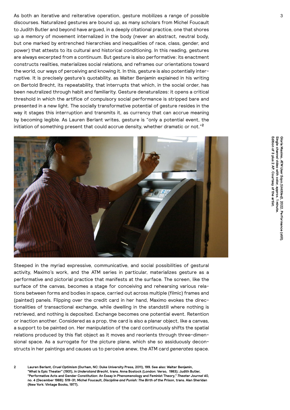As both an iterative and reiterative operation, gesture mobilizes a range of possible 3 3 discourses. Naturalized gestures are bound up, as many scholars from Michel Foucault to Judith Butler and beyond have argued, in a deeply citational practice, one that shores up a memory of movement internalized in the body (never an abstract, neutral body, but one marked by entrenched hierarchies and inequalities of race, class, gender, and power) that attests to its cultural and historical conditioning. In this reading, gestures are always excerpted from a continuum. But gesture is also performative: its enactment constructs realities, materializes social relations, and reframes our orientations toward the world, our ways of perceiving and knowing it. In this, gesture is also potentially interruptive. It is precisely gesture's quotability, as Walter Benjamin explained in his writing on Bertold Brecht, its repeatability, that interrupts that which, in the social order, has been neutralized through habit and familiarity. Gesture denaturalizes: it opens a critical threshold in which the artifice of compulsory social performance is stripped bare and presented in a new light. The socially transformative potential of gesture resides in the way it stages this interruption and transmits it, as currency that can accrue meaning by becoming legible. As Lauren Berlant writes, gesture is "only a potential event, the initiation of something present that could accrue density, whether dramatic or not."**<sup>2</sup>**



Steeped in the myriad expressive, communicative, and social possibilities of gestural activity, Maximo's work, and the ATM series in particular, materializes gesture as a performative and pictorial practice that manifests at the surface. The screen, like the surface of the canvas, becomes a stage for conceiving and rehearsing various relations between forms and bodies in space, carried out across multiple (filmic) frames and (painted) panels. Flipping over the credit card in her hand, Maximo evokes the directionalities of transactional exchange, while dwelling in the standstill where nothing is retrieved, and nothing is deposited. Exchange becomes one potential event. Retention or inaction another. Considered as a prop, the card is also a planar object, like a canvas, a support to be painted on. Her manipulation of the card continuously shifts the spatial relations produced by this flat object as it moves and reorients through three-dimensional space. As a surrogate for the picture plane, which she so assiduously deconstructs in her paintings and causes us to perceive anew, the ATM card *generates* space.

**2 Lauren Berlant,** *Cruel Optimism* **(Durham, NC: Duke University Press, 2011), 199. See also: Walter Benjamin, "What Is Epic Theater" (1931), in** *Understand Brecht***, trans. Anna Bostock (London: Verso, 1983); Judith Butler, "Performative Acts and Gender Constitution: An Essay in Phenomenology and Feminist Theory,"** *Theater Journal* **40, no. 4 (December 1988): 519-31; Michel Foucault,** *Discipline and Punish: The Birth of the Prison***, trans. Alan Sheridan (New York: Vintage Books, 1977).**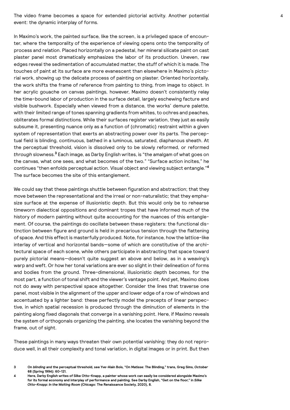The video frame becomes a space for extended pictorial activity. Another potential 4 event: the dynamic interplay of forms.

In Maximo's work, the painted surface, like the screen, is a privileged space of encounter, where the temporality of the experience of viewing opens onto the temporality of process and relation. Placed horizontally on a pedestal, her mineral silicate paint on cast plaster panel most dramatically emphasizes the labor of its production. Uneven, raw edges reveal the sedimentation of accumulated matter, the stuff of which it is made. The touches of paint at its surface are more evanescent than elsewhere in Maximo's pictorial work, showing up the delicate process of painting on plaster. Oriented horizontally, the work shifts the frame of reference from painting to thing, from image to object. In her acrylic gouache on canvas paintings, however, Maximo doesn't consistently relay the time-bound labor of production in the surface detail, largely eschewing facture and visible bushwork. Especially when viewed from a distance, the works' demure palette, with their limited range of tones spanning gradients from whites, to ochres and peaches, obliterates formal distinctions. While their surfaces register variation, they just as easily subsume it, presenting nuance only as a function of (chromatic) restraint within a given system of representation that exerts an abstracting power over its parts. The perceptual field is blinding, continuous, bathed in a luminous, saturated, diaphanous sheath. At the perceptual threshold, vision is dissolved only to be slowly reformed, or reformed *through* slowness.**<sup>3</sup>** Each image, as Darby English writes, is "the amalgam of what goes on the canvas, what one sees, and what becomes of the two." "Surface action incites," he continues "then enfolds perceptual action. Visual object and viewing subject entangle."**<sup>4</sup>** The surface becomes the site of this entanglement.

We could say that these paintings shuttle between figuration and abstraction; that they move between the representational and the irreal or non-naturalistic; that they emphasize surface at the expense of illusionistic depth. But this would only be to rehearse timeworn dialectical oppositions and dominant tropes that have informed much of the history of modern painting without quite accounting for the nuances of this entanglement. Of course, the paintings do oscillate between these registers: the functional distinction between figure and ground is held in precarious tension through the flattening of space. And this effect is masterfully produced. Note, for instance, how the lattice-like interlay of vertical and horizontal bands—some of which are constitutive of the architectural space of each scene, while others participate in abstracting that space toward purely pictorial means—doesn't quite suggest an above and below, as in a weaving's warp and weft. Or how her tonal variations are ever so slight in their delineation of forms and bodies from the ground. Three-dimensional, illusionistic depth becomes, for the most part, a function of tonal shift and the viewer's vantage point. And yet, Maximo does not do away with perspectival space altogether. Consider the lines that traverse one panel, most visible in the alignment of the upper and lower edge of a row of windows and accentuated by a lighter band: these perfectly model the precepts of linear perspective, in which spatial recession is produced through the diminution of elements in the painting along fixed diagonals that converge in a vanishing point. Here, if Maximo reveals the system of orthogonals organizing the painting, she locates the vanishing beyond the frame, out of sight.

These paintings in many ways threaten their own potential vanishing: they do not reproduce well, in all their complexity and tonal variation, in digital images or in print. But then

**<sup>3</sup> On** *blinding* **and the perceptual threshold, see Yve-Alain Bois, "On Matisse: The Blinding," trans, Greg Sims,** *October* **68 (Spring 1994): 60-121.** 

**<sup>4</sup> Here, Darby English writes of Silke Otto-Knapp, a painter whose work can easily be considered alongside Maximo's for its formal economy and interplay of performance and painting. See Darby English, "Get on the floor," in** *Silke Otto-Knapp: In the Waiting Room* **(Chicago: The Renaissance Society, 2020), 8.**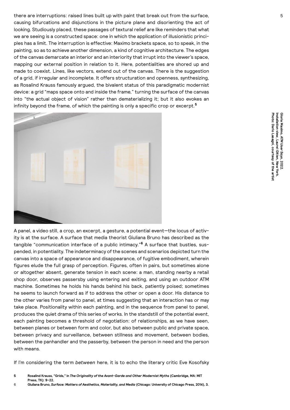there are interruptions: raised lines built up with paint that break out from the surface,  $5$ causing bifurcations and disjunctions in the picture plane and disorienting the act of looking. Studiously placed, these passages of textural relief are like reminders that what we are seeing is a constructed space: one in which the application of illusionistic principles has a limit. The interruption is effective: Maximo brackets space, so to speak, in the painting, so as to achieve another dimension, a kind of cognitive architecture. The edges of the canvas demarcate an interior and an interiority that irrupt into the viewer's space, mapping our external position in relation to it. Here, potentialities are shored up and made to coexist. Lines, like vectors, extend out of the canvas. There is the suggestion of a grid, if irregular and incomplete. It offers structuration and openness, synthesizing, as Rosalind Krauss famously argued, the bivalent status of this paradigmatic modernist device: a grid "maps space onto and inside the frame," turning the surface of the canvas into "the actual object of vision" rather than dematerializing it; but it also evokes an infinity beyond the frame, of which the painting is only a specific crop or excerpt.**<sup>5</sup>**



A panel, a video still, a crop, an excerpt, a gesture, a potential event—the locus of activity is at the surface. A surface that media theorist Giuliana Bruno has described as the tangible "communication interface of a public intimacy."**<sup>6</sup>** A surface that bustles, suspended, in potentiality. The indeterminacy of the scenes and scenarios depicted turn the canvas into a space of appearance and disappearance, of fugitive embodiment, wherein figures elude the full grasp of perception. Figures, often in pairs, but sometimes alone or altogether absent, generate tension in each scene: a man, standing nearby a retail shop door, observes passersby using entering and exiting, and using an outdoor ATM machine. Sometimes he holds his hands behind his back, patiently poised; sometimes he seems to launch forward as if to address the other or open a door. His distance to the other varies from panel to panel, at times suggesting that an interaction has or may take place. Positionality within each painting, and in the sequence from panel to panel, produces the quiet drama of this series of works. In the standstill of the potential event, each painting becomes a threshold of negotiation: of relationships, as we have seen, between planes or between form and color, but also between public and private space, between privacy and surveillance, between stillness and movement, between bodies, between the panhandler and the passerby, between the person in need and the person with means.

If I'm considering the term *between* here, it is to echo the literary critic Eve Kosofsky

**<sup>5</sup> Rosalind Krauss, "Grids," in** *The Originality of the Avant-Garde and Other Modernist Myths* **(Cambridge, MA: MIT Press, TK): 9-22.**

<sup>6</sup> **Giuliana Bruno,** *Surface: Matters of Aesthetics, Materiality, and Media* **(Chicago: University of Chicago Press, 2014), 3.**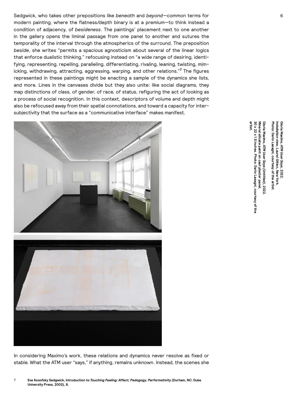Sedgwick, who takes other prepositions like *beneath* and *beyond*—common terms for 6 modern painting, where the flatness/depth binary is at a premium—to think instead a condition of adjacency, of *besideness*. The paintings' placement next to one another in the gallery opens the liminal passage from one panel to another and sutures the temporality of the interval through the atmospherics of the surround. The preposition *beside*, she writes "permits a spacious agnosticism about several of the linear logics that enforce dualistic thinking," refocusing instead on "a wide range of desiring, identifying, representing, repelling, paralleling, differentiating, rivaling, leaning, twisting, mimicking, withdrawing, attracting, aggressing, warping, and other relations."**<sup>7</sup>** The figures represented in these paintings might be enacting a sample of the dynamics she lists, and more. Lines in the canvases divide but they also unite: like social diagrams, they map distinctions of class, of gender, of race, of status, refiguring the act of looking as a process of social recognition. In this context, descriptors of volume and depth might also be refocused away from their spatial connotations, and toward a capacity for intersubjectivity that the surface as a "communicative interface" makes manifest.





In considering Maximo's work, these relations and dynamics never resolve as fixed or stable. What the ATM user "says," if anything, remains unknown. Instead, the scenes she

7 **Eve Kosofsky Sedgwick, introduction to** *Touching Feeling: Affect, Pedagogy, Performativity* **(Durham, NC: Duke University Press, 2003), 8.**

**Gloria Maximo,** 

**30 x 22 x 1.5 inches**

**artist.**

30 x 22 x 1.5 inches. Photo: Dario Lasagni, courtesy of the

**Photo: Dario Lasagni, courtesy of the** 

*ATM User Says (Untitled)*

**Mineral silicate paint on cast plaster panel,**

Mineral silicate paint on cast plaster panel,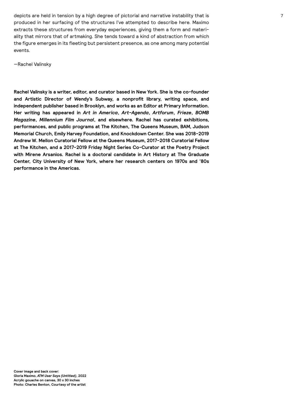depicts are held in tension by a high degree of pictorial and narrative instability that is 7 produced in her surfacing of the structures I've attempted to describe here. Maximo extracts these structures from everyday experiences, giving them a form and materiality that mirrors that of artmaking. She tends toward a kind of abstraction from which the figure emerges in its fleeting but persistent presence, as one among many potential events.

—Rachel Valinsky

**Rachel Valinsky is a writer, editor, and curator based in New York. She is the co-founder and Artistic Director of Wendy's Subway, a nonprofit library, writing space, and independent publisher based in Brooklyn, and works as an Editor at Primary Information. Her writing has appeared in** *Art in America***,** *Art-Agenda***,** *Artforum***,** *Frieze***,** *BOMB Magazine***,** *Millennium Film Journal***, and elsewhere. Rachel has curated exhibitions, performances, and public programs at The Kitchen, The Queens Museum, BAM, Judson Memorial Church, Emily Harvey Foundation, and Knockdown Center. She was 2018-2019 Andrew W. Mellon Curatorial Fellow at the Queens Museum, 2017-2018 Curatorial Fellow at The Kitchen, and a 2017-2019 Friday Night Series Co-Curator at the Poetry Project with Mirene Arsanios. Rachel is a doctoral candidate in Art History at The Graduate Center, City University of New York, where her research centers on 1970s and '80s performance in the Americas.**